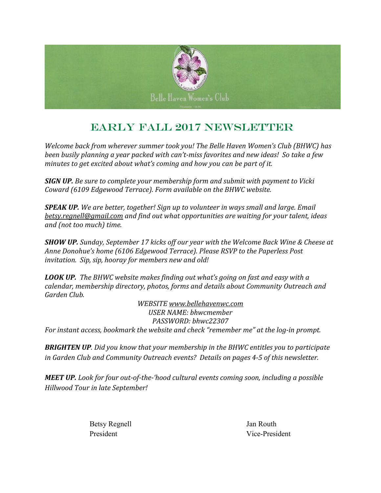

### EARLY Fall 2017 Newsletter

*Welcome back from wherever summer took you! The Belle Haven Women's Club (BHWC) has been busily planning a year packed with can't-miss favorites and new ideas! So take a few minutes to get excited about what's coming and how you can be part of it.*

*SIGN UP. Be sure to complete your membership form and submit with payment to Vicki Coward (6109 Edgewood Terrace). Form available on the BHWC website.*

*SPEAK UP. We are better, together! Sign up to volunteer in ways small and large. Email [betsy.regnell@gmail.com](mailto:betsy.regnell@gmail.com) and find out what opportunities are waiting for your talent, ideas and (not too much) time.*

*SHOW UP. Sunday, September 17 kicks off our year with the Welcome Back Wine & Cheese at Anne Donohue's home (6106 Edgewood Terrace). Please RSVP to the Paperless Post invitation. Sip, sip, hooray for members new and old!*

*LOOK UP. The BHWC website makes finding out what's going on fast and easy with a calendar, membership directory, photos, forms and details about Community Outreach and Garden Club.*

*WEBSITE [www.bellehavenwc.com](http://www.bellehavenwc.com/) USER NAME: bhwcmember PASSWORD: bhwc22307 For instant access, bookmark the website and check "remember me" at the log-in prompt.*

*BRIGHTEN UP. Did you know that your membership in the BHWC entitles you to participate in Garden Club and Community Outreach events? Details on pages 4-5 of this newsletter.*

*MEET UP. Look for four out-of-the-'hood cultural events coming soon, including a possible Hillwood Tour in late September!*

Betsy Regnell Jan Routh

President Vice-President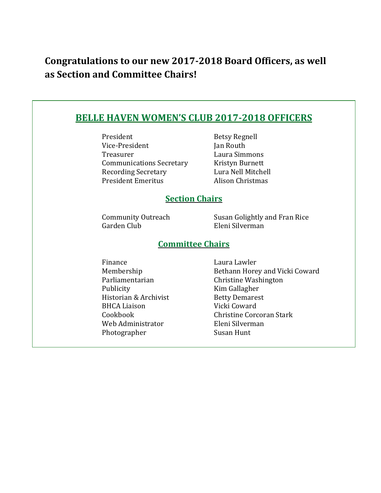## **Congratulations to our new 2017-2018 Board Officers, as well as Section and Committee Chairs!**

| <b>BELLE HAVEN WOMEN'S CLUB 2017-2018 OFFICERS</b> |                                                  |  |
|----------------------------------------------------|--------------------------------------------------|--|
| President                                          | <b>Betsy Regnell</b>                             |  |
| Vice-President                                     | Jan Routh                                        |  |
| Treasurer                                          | Laura Simmons                                    |  |
| <b>Communications Secretary</b>                    | Kristyn Burnett                                  |  |
| <b>Recording Secretary</b>                         | Lura Nell Mitchell                               |  |
| <b>President Emeritus</b>                          | Alison Christmas                                 |  |
|                                                    |                                                  |  |
| <b>Section Chairs</b>                              |                                                  |  |
| <b>Community Outreach</b><br>Garden Club           | Susan Golightly and Fran Rice<br>Eleni Silverman |  |
| <b>Committee Chairs</b>                            |                                                  |  |
| Finance                                            | Laura Lawler                                     |  |
| Membership                                         | Bethann Horey and Vicki Coward                   |  |
| Parliamentarian                                    | Christine Washington                             |  |
| Publicity                                          | Kim Gallagher                                    |  |
| Historian & Archivist                              | <b>Betty Demarest</b>                            |  |
| <b>BHCA Liaison</b>                                | Vicki Coward                                     |  |
| Cookbook                                           | Christine Corcoran Stark                         |  |
|                                                    |                                                  |  |

- Web Administrator Eleni Silverman Photographer Susan Hunt
-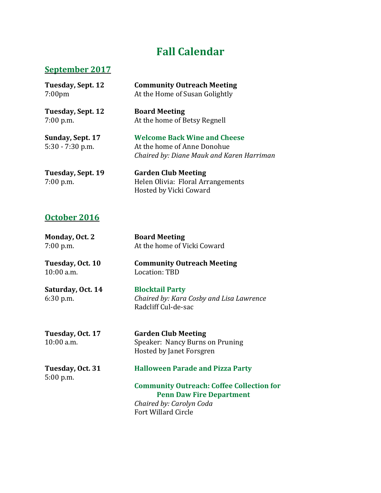# **Fall Calendar**

#### **September 2017**

| Tuesday, Sept. 12                      | <b>Community Outreach Meeting</b>                                                                               |
|----------------------------------------|-----------------------------------------------------------------------------------------------------------------|
| 7:00 <sub>pm</sub>                     | At the Home of Susan Golightly                                                                                  |
| Tuesday, Sept. 12                      | <b>Board Meeting</b>                                                                                            |
| $7:00$ p.m.                            | At the home of Betsy Regnell                                                                                    |
| Sunday, Sept. 17<br>$5:30 - 7:30$ p.m. | <b>Welcome Back Wine and Cheese</b><br>At the home of Anne Donohue<br>Chaired by: Diane Mauk and Karen Harriman |
| Tuesday, Sept. 19<br>$7:00$ p.m.       | <b>Garden Club Meeting</b><br>Helen Olivia: Floral Arrangements<br>Hosted by Vicki Coward                       |

#### **October 2016**

| Monday, Oct. 2<br>$7:00$ p.m.    | <b>Board Meeting</b><br>At the home of Vicki Coward                                                                                           |
|----------------------------------|-----------------------------------------------------------------------------------------------------------------------------------------------|
| Tuesday, Oct. 10<br>10:00 a.m.   | <b>Community Outreach Meeting</b><br>Location: TBD                                                                                            |
| Saturday, Oct. 14<br>$6:30$ p.m. | <b>Blocktail Party</b><br>Chaired by: Kara Cosby and Lisa Lawrence<br>Radcliff Cul-de-sac                                                     |
| Tuesday, Oct. 17<br>$10:00$ a.m. | <b>Garden Club Meeting</b><br>Speaker: Nancy Burns on Pruning<br>Hosted by Janet Forsgren                                                     |
| Tuesday, Oct. 31<br>$5:00$ p.m.  | <b>Halloween Parade and Pizza Party</b>                                                                                                       |
|                                  | <b>Community Outreach: Coffee Collection for</b><br><b>Penn Daw Fire Department</b><br>Chaired by: Carolyn Coda<br><b>Fort Willard Circle</b> |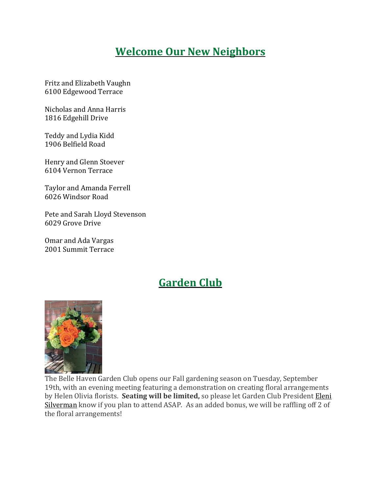## **Welcome Our New Neighbors**

Fritz and Elizabeth Vaughn 6100 Edgewood Terrace

Nicholas and Anna Harris 1816 Edgehill Drive

Teddy and Lydia Kidd 1906 Belfield Road

Henry and Glenn Stoever 6104 Vernon Terrace

Taylor and Amanda Ferrell 6026 Windsor Road

Pete and Sarah Lloyd Stevenson 6029 Grove Drive

Omar and Ada Vargas 2001 Summit Terrace

#### **Garden Club**



The Belle Haven Garden Club opens our Fall gardening season on Tuesday, September 19th, with an evening meeting featuring a demonstration on creating floral arrangements by Helen Olivia florists. **Seating will be limited,** so please let Garden Club President [Eleni](mailto:elenisilverman@gmail.com) [Silverman](mailto:elenisilverman@gmail.com) know if you plan to attend ASAP. As an added bonus, we will be raffling off 2 of the floral arrangements!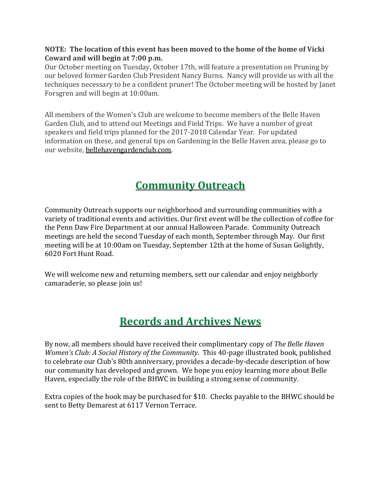#### **NOTE: The location of this event has been moved to the home of the home of Vicki Coward and will begin at 7:00 p.m.**

Our October meeting on Tuesday, October 17th, will feature a presentation on Pruning by our beloved former Garden Club President Nancy Burns. Nancy will provide us with all the techniques necessary to be a confident pruner! The October meeting will be hosted by Janet Forsgren and will begin at 10:00am.

All members of the Women's Club are welcome to become members of the Belle Haven Garden Club, and to attend out Meetings and Field Trips. We have a number of great speakers and field trips planned for the 2017-2018 Calendar Year. For updated information on these, and general tips on Gardening in the Belle Haven area, please go to our website, [bellehavengardenclub.com.](https://bellehavengardenclub.com/)

# **Community Outreach**

Community Outreach supports our neighborhood and surrounding communities with a variety of traditional events and activities. Our first event will be the collection of coffee for the Penn Daw Fire Department at our annual Halloween Parade. Community Outreach meetings are held the second Tuesday of each month, September through May. Our first meeting will be at 10:00am on Tuesday, September 12th at the home of Susan Golightly, 6020 Fort Hunt Road.

We will welcome new and returning members, sett our calendar and enjoy neighborly camaraderie, so please join us!

## **Records and Archives News**

By now, all members should have received their complimentary copy of *The Belle Haven Women's Club: A Social History of the Community.* This 40-page illustrated book, published to celebrate our Club's 80th anniversary, provides a decade-by-decade description of how our community has developed and grown. We hope you enjoy learning more about Belle Haven, especially the role of the BHWC in building a strong sense of community.

Extra copies of the book may be purchased for \$10. Checks payable to the BHWC should be sent to Betty Demarest at 6117 Vernon Terrace.